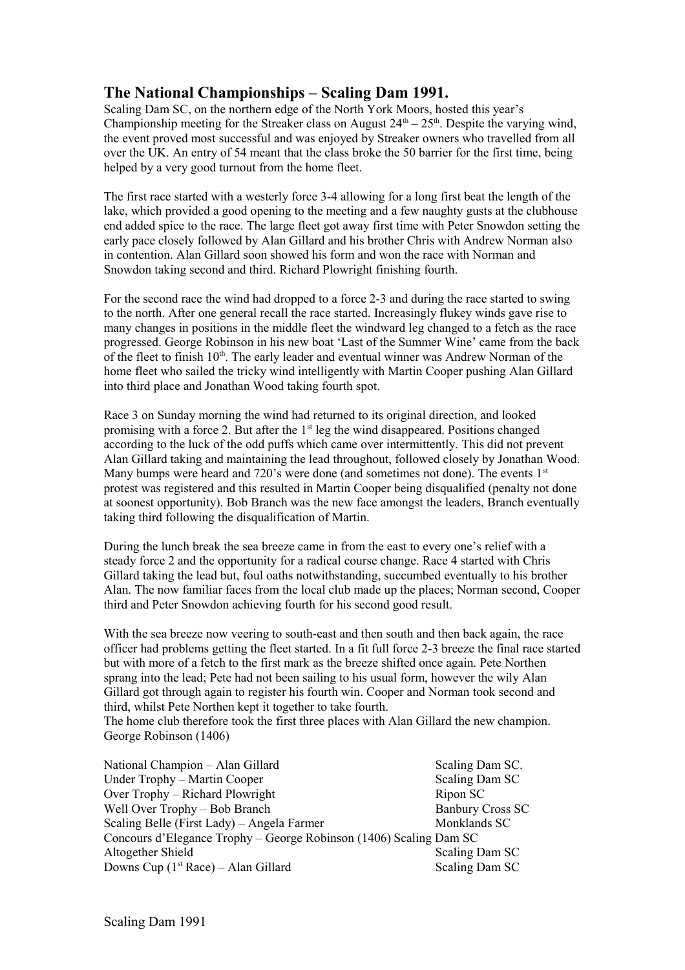## **The National Championships – Scaling Dam 1991.**

Scaling Dam SC, on the northern edge of the North York Moors, hosted this year's Championship meeting for the Streaker class on August  $24<sup>th</sup> - 25<sup>th</sup>$ . Despite the varying wind, the event proved most successful and was enjoyed by Streaker owners who travelled from all over the UK. An entry of 54 meant that the class broke the 50 barrier for the first time, being helped by a very good turnout from the home fleet.

The first race started with a westerly force 3-4 allowing for a long first beat the length of the lake, which provided a good opening to the meeting and a few naughty gusts at the clubhouse end added spice to the race. The large fleet got away first time with Peter Snowdon setting the early pace closely followed by Alan Gillard and his brother Chris with Andrew Norman also in contention. Alan Gillard soon showed his form and won the race with Norman and Snowdon taking second and third. Richard Plowright finishing fourth.

For the second race the wind had dropped to a force 2-3 and during the race started to swing to the north. After one general recall the race started. Increasingly flukey winds gave rise to many changes in positions in the middle fleet the windward leg changed to a fetch as the race progressed. George Robinson in his new boat 'Last of the Summer Wine' came from the back of the fleet to finish 10<sup>th</sup>. The early leader and eventual winner was Andrew Norman of the home fleet who sailed the tricky wind intelligently with Martin Cooper pushing Alan Gillard into third place and Jonathan Wood taking fourth spot.

Race 3 on Sunday morning the wind had returned to its original direction, and looked promising with a force 2. But after the  $1<sup>st</sup>$  leg the wind disappeared. Positions changed according to the luck of the odd puffs which came over intermittently. This did not prevent Alan Gillard taking and maintaining the lead throughout, followed closely by Jonathan Wood. Many bumps were heard and 720's were done (and sometimes not done). The events  $1<sup>st</sup>$ protest was registered and this resulted in Martin Cooper being disqualified (penalty not done at soonest opportunity). Bob Branch was the new face amongst the leaders, Branch eventually taking third following the disqualification of Martin.

During the lunch break the sea breeze came in from the east to every one's relief with a steady force 2 and the opportunity for a radical course change. Race 4 started with Chris Gillard taking the lead but, foul oaths notwithstanding, succumbed eventually to his brother Alan. The now familiar faces from the local club made up the places; Norman second, Cooper third and Peter Snowdon achieving fourth for his second good result.

With the sea breeze now veering to south-east and then south and then back again, the race officer had problems getting the fleet started. In a fit full force 2-3 breeze the final race started but with more of a fetch to the first mark as the breeze shifted once again. Pete Northen sprang into the lead; Pete had not been sailing to his usual form, however the wily Alan Gillard got through again to register his fourth win. Cooper and Norman took second and third, whilst Pete Northen kept it together to take fourth.

The home club therefore took the first three places with Alan Gillard the new champion. George Robinson (1406)

National Champion – Alan Gillard Scaling Dam SC. Under Trophy – Martin Cooper Scaling Dam SC Over Trophy – Richard Plowright Ripon SC Well Over Trophy – Bob Branch Banbury Cross SC Scaling Belle (First Lady) – Angela Farmer Monklands SC Concours d'Elegance Trophy – George Robinson (1406) Scaling Dam SC Altogether Shield Scaling Dam SC Downs Cup  $(1<sup>st</sup> Race) - Alan Gillard$  Scaling Dam SC